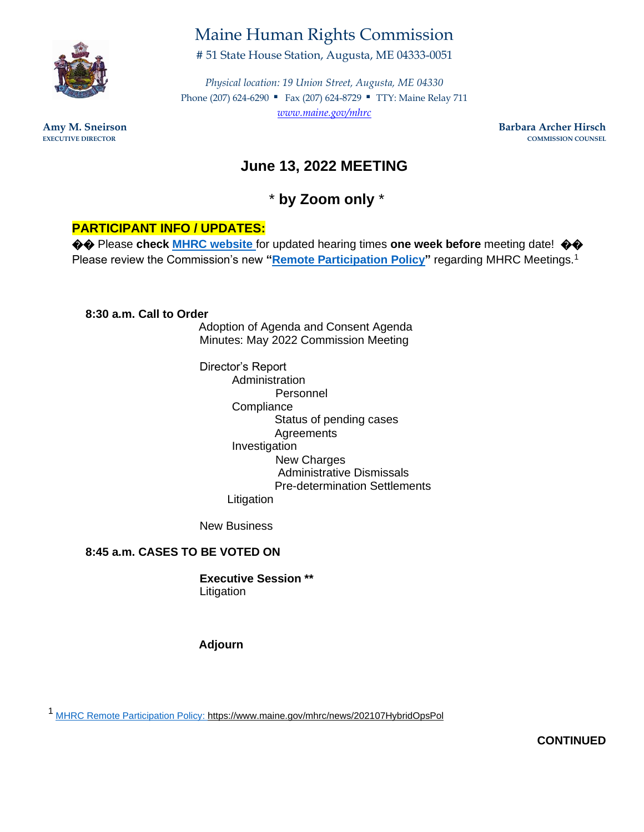

# Maine Human Rights Commission

# 51 State House Station, Augusta, ME 04333-0051

 *Physical location: 19 Union Street, Augusta, ME 04330*  Phone (207) 624-6290 • Fax (207) 624-8729 • TTY: Maine Relay 711 *[www.maine.gov/mhrc](http://www.maine.gov/mhrc)* 

**Amy M. Sneirson Barbara Archer Hirsch EXECUTIVE DIRECTOR BARBARA Archer Hirsch EXECUTIVE DIRECTOR COMMISSION COUNSEL** 

## **June 13, 2022 MEETING**

\* **by Zoom only** \*

## **PARTICIPANT INFO / UPDATES:**

**♦♦** Please check **MHRC website** for updated hearing times one week before meeting date! ♦♦ Please review the Commission's new **"Remote Participation Policy"** regarding MHRC Meetings.1

#### **8:30 a.m. Call to Order**

 Adoption of Agenda and Consent Agenda Minutes: May 2022 Commission Meeting

 Status of pending cases Director's Report Administration Personnel **Compliance Agreements** Investigation New Charges Administrative Dismissals Pre-determination Settlements Litigation

New Business

### **8:45 a.m. CASES TO BE VOTED ON**

 **Executive Session \*\***  Litigation

**Adjourn** 

<sup>1</sup> MHRC Remote Participation Policy: <https://www.maine.gov/mhrc/news/202107HybridOpsPol>**CONTINUED** 

**CONTINUED**